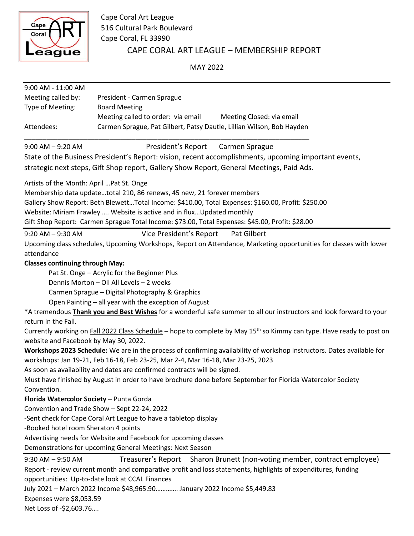

CAPE CORAL ART LEAGUE – MEMBERSHIP REPORT Cape Coral Art League 516 Cultural Park Boulevard Cape Coral, FL 33990

MAY 2022

| 9:00 AM - 11:00 AM                                                                                                                |                                                                                                  |
|-----------------------------------------------------------------------------------------------------------------------------------|--------------------------------------------------------------------------------------------------|
| Meeting called by:                                                                                                                | President - Carmen Sprague                                                                       |
| Type of Meeting:                                                                                                                  | <b>Board Meeting</b>                                                                             |
|                                                                                                                                   | Meeting called to order: via email<br>Meeting Closed: via email                                  |
| Attendees:                                                                                                                        | Carmen Sprague, Pat Gilbert, Patsy Dautle, Lillian Wilson, Bob Hayden                            |
| $9:00$ AM $-$ 9:20 AM                                                                                                             | President's Report<br>Carmen Sprague                                                             |
| State of the Business President's Report: vision, recent accomplishments, upcoming important events,                              |                                                                                                  |
| strategic next steps, Gift Shop report, Gallery Show Report, General Meetings, Paid Ads.                                          |                                                                                                  |
| Artists of the Month: April  Pat St. Onge                                                                                         |                                                                                                  |
|                                                                                                                                   | Membership data updatetotal 210, 86 renews, 45 new, 21 forever members                           |
| Gallery Show Report: Beth BlewettTotal Income: \$410.00, Total Expenses: \$160.00, Profit: \$250.00                               |                                                                                                  |
| Website: Miriam Frawley  Website is active and in flux Updated monthly                                                            |                                                                                                  |
|                                                                                                                                   | Gift Shop Report: Carmen Sprague Total Income: \$73.00, Total Expenses: \$45.00, Profit: \$28.00 |
| $9:20$ AM $ 9:30$ AM                                                                                                              | Vice President's Report<br>Pat Gilbert                                                           |
| Upcoming class schedules, Upcoming Workshops, Report on Attendance, Marketing opportunities for classes with lower                |                                                                                                  |
| attendance                                                                                                                        |                                                                                                  |
| <b>Classes continuing through May:</b>                                                                                            |                                                                                                  |
| Pat St. Onge - Acrylic for the Beginner Plus                                                                                      |                                                                                                  |
| Dennis Morton - Oil All Levels - 2 weeks                                                                                          |                                                                                                  |
| Carmen Sprague - Digital Photography & Graphics                                                                                   |                                                                                                  |
| Open Painting - all year with the exception of August                                                                             |                                                                                                  |
| *A tremendous Thank you and Best Wishes for a wonderful safe summer to all our instructors and look forward to your               |                                                                                                  |
| return in the Fall.                                                                                                               |                                                                                                  |
| Currently working on Fall 2022 Class Schedule - hope to complete by May 15 <sup>th</sup> so Kimmy can type. Have ready to post on |                                                                                                  |
| website and Facebook by May 30, 2022.                                                                                             |                                                                                                  |
| Workshops 2023 Schedule: We are in the process of confirming availability of workshop instructors. Dates available for            |                                                                                                  |
| workshops: Jan 19-21, Feb 16-18, Feb 23-25, Mar 2-4, Mar 16-18, Mar 23-25, 2023                                                   |                                                                                                  |
| As soon as availability and dates are confirmed contracts will be signed.                                                         |                                                                                                  |
| Must have finished by August in order to have brochure done before September for Florida Watercolor Society                       |                                                                                                  |
| Convention.                                                                                                                       |                                                                                                  |
| Florida Watercolor Society - Punta Gorda                                                                                          |                                                                                                  |
| Convention and Trade Show - Sept 22-24, 2022                                                                                      |                                                                                                  |
| -Sent check for Cape Coral Art League to have a tabletop display                                                                  |                                                                                                  |
| -Booked hotel room Sheraton 4 points                                                                                              |                                                                                                  |
| Advertising needs for Website and Facebook for upcoming classes                                                                   |                                                                                                  |
| Demonstrations for upcoming General Meetings: Next Season                                                                         |                                                                                                  |
| $9:30$ AM $-$ 9:50 AM                                                                                                             | Treasurer's Report<br>Sharon Brunett (non-voting member, contract employee)                      |
| Report - review current month and comparative profit and loss statements, highlights of expenditures, funding                     |                                                                                                  |
| opportunities: Up-to-date look at CCAL Finances                                                                                   |                                                                                                  |
| July 2021 - March 2022 Income \$48,965.90 January 2022 Income \$5,449.83                                                          |                                                                                                  |

Expenses were \$8,053.59

Net Loss of -\$2,603.76….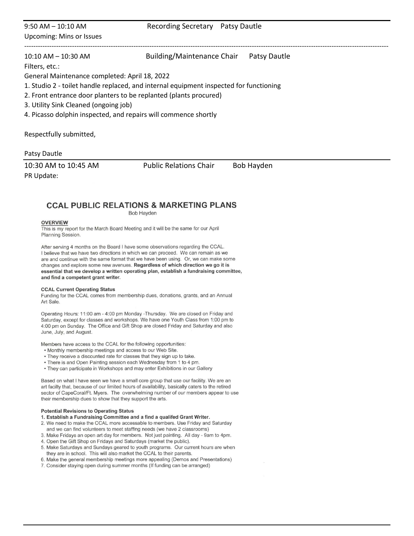# 9:50 AM – 10:10 AM Recording Secretary Patsy Dautle Upcoming: Mins or Issues ---------------------------------------------------------------------------------------------------------------------------------------------------------------- 10:10 AM – 10:30 AM Building/Maintenance Chair Patsy Dautle Filters, etc.: General Maintenance completed: April 18, 2022 1. Studio 2 - toilet handle replaced, and internal equipment inspected for functioning 2. Front entrance door planters to be replanted (plants procured)

3. Utility Sink Cleaned (ongoing job)

4. Picasso dolphin inspected, and repairs will commence shortly

Respectfully submitted,

### Patsy Dautle

10:30 AM to 10:45 AM Public Relations Chair Bob Hayden PR Update:

## **CCAL PUBLIC RELATIONS & MARKETING PLANS**

**Bob Hayden** 

#### **OVERVIEW**

This is my report for the March Board Meeting and it will be the same for our April Planning Session.

After serving 4 months on the Board I have some observations regarding the CCAL. I believe that we have two directions in which we can proceed. We can remain as we are and continue with the same format that we have been using. Or, we can make some changes and explore some new avenues. Regardless of which direction we go it is essential that we develop a written operating plan, establish a fundraising committee, and find a competent grant writer.

#### **CCAL Current Operating Status**

Funding for the CCAL comes from membership dues, donations, grants, and an Annual Art Sale.

Operating Hours: 11:00 am - 4:00 pm Monday -Thursday. We are closed on Friday and Saturday, except for classes and workshops. We have one Youth Class from 1:00 pm to 4:00 pm on Sunday. The Office and Gift Shop are closed Friday and Saturday and also June, July, and August.

Members have access to the CCAL for the following opportunities:

- . Monthly membership meetings and access to our Web Site.
- . They receive a discounted rate for classes that they sign up to take.
- There is and Open Painting session each Wednesday from 1 to 4 pm.
- . They can participate in Workshops and may enter Exhibitions in our Gallery

Based on what I have seen we have a small core group that use our facility. We are an art facilty that, because of our limited hours of availability, basically caters to the retired sector of CapeCoral/Ft. Myers. The overwhelming number of our members appear to use their membership dues to show that they support the arts.

#### **Potential Revisions to Operating Status**

- 1. Establish a Fundraising Committee and a find a qualifed Grant Writer.
- 2. We need to make the CCAL more accessable to members. Use Friday and Saturday and we can find volunteers to meet staffing needs (we have 2 classrooms)
- 3. Make Fridays an open art day for members. Not just painting. All day 9am to 4pm.
- 4. Open the Gift Shop on Fridays and Saturdays (market the public).
- 5. Make Saturdays and Sundays geared to youth programs. Our current hours are when they are in school. This will also market the CCAL to their parents.
- 6. Make the general membership meetings more appealing (Demos and Presentations)
- 7. Consider staying open during summer months (If funding can be arranged)